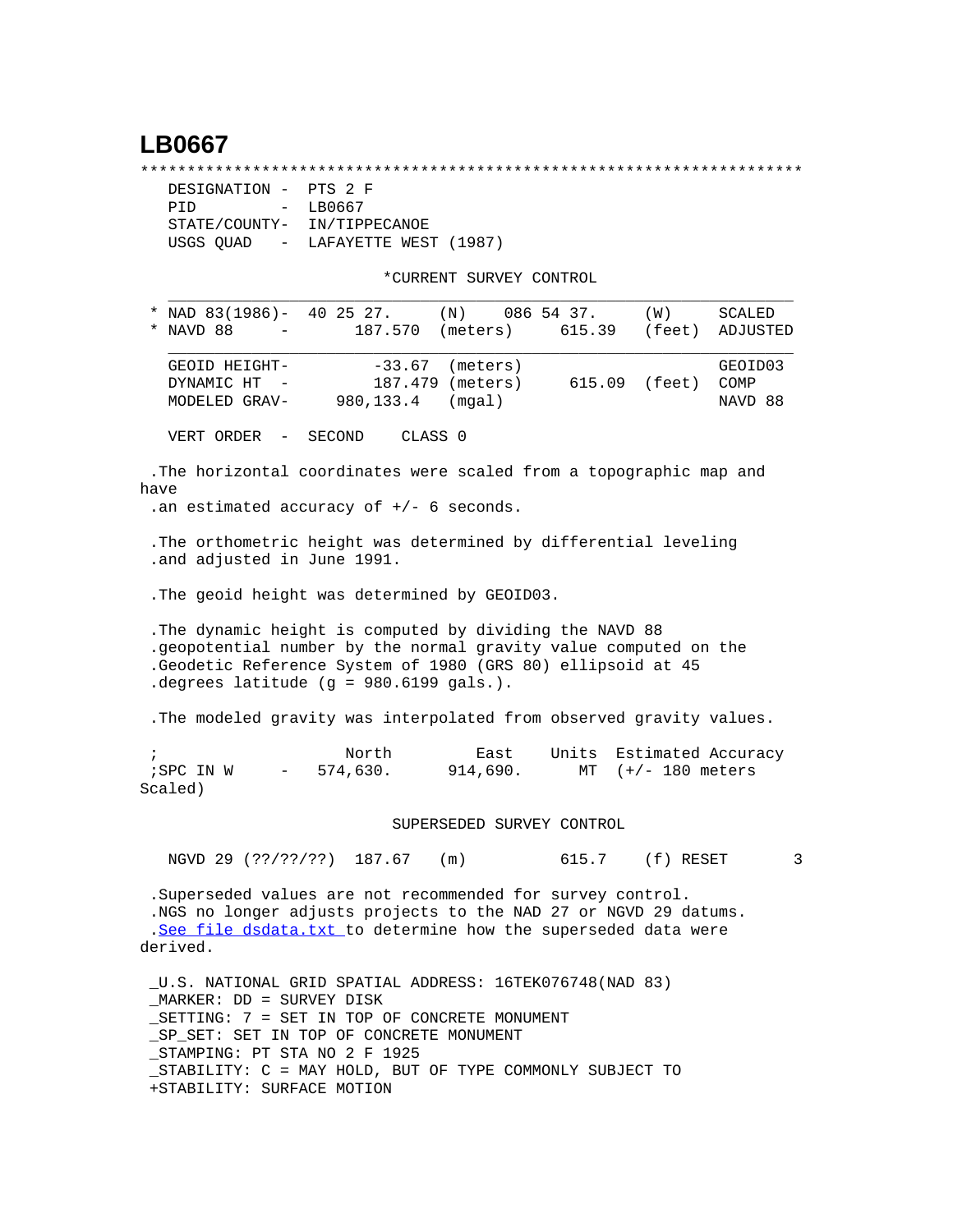## **LB0667**

\*\*\*\*\*\*\*\*\*\*\*\*\*\*\*\*\*\*\*\*\*\*\*\*\*\*\*\*\*\*\*\*\*\*\*\*\*\*\*\*\*\*\*\*\*\*\*\*\*\*\*\*\*\*\*\*\*\*\*\*\*\*\*\*\*\*\*\*\*\*\*

| DESIGNATION - PTS 2 F |                                   |
|-----------------------|-----------------------------------|
| PTD.                  | $-$ LB0667                        |
|                       | STATE/COUNTY- IN/TIPPECANOE       |
|                       | USGS OUAD - LAFAYETTE WEST (1987) |

\*CURRENT SURVEY CONTROL

| *                                                                                                                                                                                                                                        | NAD 83(1986)- 40 25 27. (N) 086 54 37.<br>$*$ NAVD 88 $-$                                                        |                               | 187.570 (meters) 615.39        |                                     | (W)<br>(feet)     | SCALED<br>ADJUSTED         |  |  |
|------------------------------------------------------------------------------------------------------------------------------------------------------------------------------------------------------------------------------------------|------------------------------------------------------------------------------------------------------------------|-------------------------------|--------------------------------|-------------------------------------|-------------------|----------------------------|--|--|
|                                                                                                                                                                                                                                          | GEOID HEIGHT-<br>DYNAMIC HT -<br>MODELED GRAV-980,133.4                                                          | $-33.67$<br>187.479           | (meters)<br>(meters)<br>(mqal) | 615.09 (feet)                       |                   | GEOID03<br>COMP<br>NAVD 88 |  |  |
|                                                                                                                                                                                                                                          | VERT ORDER - SECOND                                                                                              | CLASS <sub>0</sub>            |                                |                                     |                   |                            |  |  |
| have                                                                                                                                                                                                                                     | .The horizontal coordinates were scaled from a topographic map and<br>.an estimated accuracy of $+/-$ 6 seconds. |                               |                                |                                     |                   |                            |  |  |
| . The orthometric height was determined by differential leveling<br>.and adjusted in June 1991.                                                                                                                                          |                                                                                                                  |                               |                                |                                     |                   |                            |  |  |
|                                                                                                                                                                                                                                          | . The geoid height was determined by GEOID03.                                                                    |                               |                                |                                     |                   |                            |  |  |
| . The dynamic height is computed by dividing the NAVD 88<br>.geopotential number by the normal gravity value computed on the<br>. Geodetic Reference System of 1980 (GRS 80) ellipsoid at 45<br>degrees latitude (g = $980.6199$ gals.). |                                                                                                                  |                               |                                |                                     |                   |                            |  |  |
| . The modeled gravity was interpolated from observed gravity values.                                                                                                                                                                     |                                                                                                                  |                               |                                |                                     |                   |                            |  |  |
| $\ddot{i}$                                                                                                                                                                                                                               | ; SPC IN W<br>Scaled)                                                                                            | North<br>$-574,630.$ 914,690. |                                | East Units Estimated Accuracy<br>MT | $(+/- 180$ meters |                            |  |  |

SUPERSEDED SURVEY CONTROL

NGVD 29 (??/??/??) 187.67 (m) 615.7 (f) RESET 3

 .Superseded values are not recommended for survey control. .NGS no longer adjusts projects to the NAD 27 or NGVD 29 datums. .[See file dsdata.txt](http://www.ngs.noaa.gov/cgi-bin/ds_lookup.prl?Item=HOW_SUP_DET) to determine how the superseded data were derived.

 \_U.S. NATIONAL GRID SPATIAL ADDRESS: 16TEK076748(NAD 83) \_MARKER: DD = SURVEY DISK \_SETTING: 7 = SET IN TOP OF CONCRETE MONUMENT \_SP\_SET: SET IN TOP OF CONCRETE MONUMENT \_STAMPING: PT STA NO 2 F 1925 \_STABILITY: C = MAY HOLD, BUT OF TYPE COMMONLY SUBJECT TO +STABILITY: SURFACE MOTION